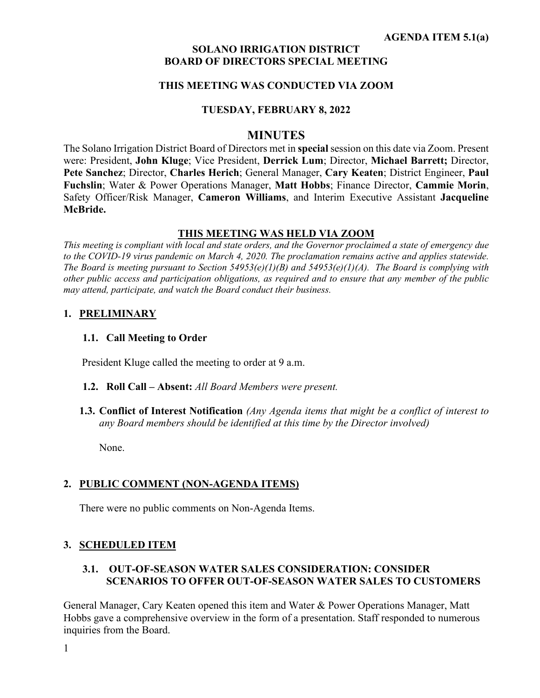### **SOLANO IRRIGATION DISTRICT BOARD OF DIRECTORS SPECIAL MEETING**

## **THIS MEETING WAS CONDUCTED VIA ZOOM**

## **TUESDAY, FEBRUARY 8, 2022**

## **MINUTES**

The Solano Irrigation District Board of Directors met in **special**session on this date via Zoom. Present were: President, **John Kluge**; Vice President, **Derrick Lum**; Director, **Michael Barrett;** Director, **Pete Sanchez**; Director, **Charles Herich**; General Manager, **Cary Keaten**; District Engineer, **Paul Fuchslin**; Water & Power Operations Manager, **Matt Hobbs**; Finance Director, **Cammie Morin**, Safety Officer/Risk Manager, **Cameron Williams**, and Interim Executive Assistant **Jacqueline McBride.**

## **THIS MEETING WAS HELD VIA ZOOM**

*This meeting is compliant with local and state orders, and the Governor proclaimed a state of emergency due to the COVID-19 virus pandemic on March 4, 2020. The proclamation remains active and applies statewide. The Board is meeting pursuant to Section 54953(e)(1)(B) and 54953(e)(1)(A). The Board is complying with other public access and participation obligations, as required and to ensure that any member of the public may attend, participate, and watch the Board conduct their business.* 

## **1. PRELIMINARY**

#### **1.1. Call Meeting to Order**

President Kluge called the meeting to order at 9 a.m.

- **1.2. Roll Call – Absent:** *All Board Members were present.*
- **1.3. Conflict of Interest Notification** *(Any Agenda items that might be a conflict of interest to any Board members should be identified at this time by the Director involved)*

None.

## **2. PUBLIC COMMENT (NON-AGENDA ITEMS)**

There were no public comments on Non-Agenda Items.

## **3. SCHEDULED ITEM**

# **3.1. OUT-OF-SEASON WATER SALES CONSIDERATION: CONSIDER SCENARIOS TO OFFER OUT-OF-SEASON WATER SALES TO CUSTOMERS**

General Manager, Cary Keaten opened this item and Water & Power Operations Manager, Matt Hobbs gave a comprehensive overview in the form of a presentation. Staff responded to numerous inquiries from the Board.